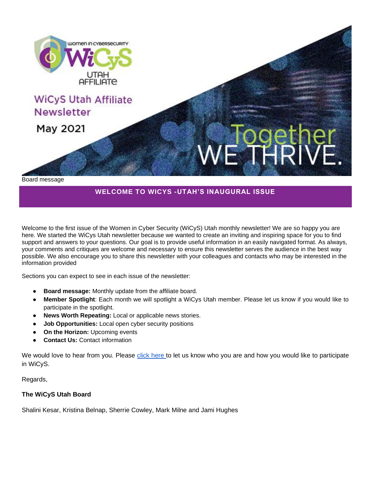

## **WELCOME TO WICYS -UTAH'S INAUGURAL ISSUE**

Welcome to the first issue of the Women in Cyber Security (WiCyS) Utah monthly newsletter! We are so happy you are here. We started the WiCys Utah newsletter because we wanted to create an inviting and inspiring space for you to find support and answers to your questions. Our goal is to provide useful information in an easily navigated format. As always, your comments and critiques are welcome and necessary to ensure this newsletter serves the audience in the best way possible. We also encourage you to share this newsletter with your colleagues and contacts who may be interested in the information provided

Sections you can expect to see in each issue of the newsletter:

- **Board message:** Monthly update from the affiliate board.
- **Member Spotlight**: Each month we will spotlight a WiCys Utah member. Please let us know if you would like to participate in the spotlight.
- **News Worth Repeating: Local or applicable news stories.**
- **Job Opportunities:** Local open cyber security positions
- **On the Horizon: Upcoming events**
- **Contact Us: Contact information**

We would love to hear from you. Please [click here t](https://docs.google.com/forms/d/1a2iV2XBr08P6-ZLjL57DhlIRgoC_NeZGa1rw6QJuIqk/viewform?edit_requested=true)o let us know who you are and how you would like to participate in WiCyS.

Regards,

## **The WiCyS Utah Board**

Shalini Kesar, Kristina Belnap, Sherrie Cowley, Mark Milne and Jami Hughes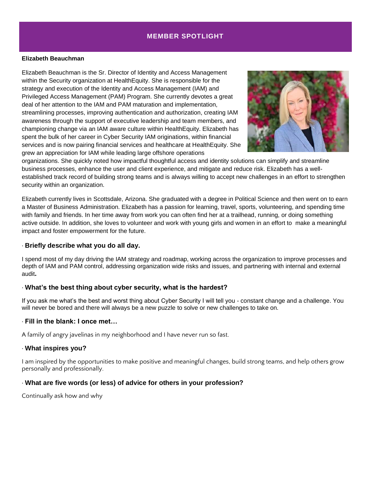## **MEMBER SPOTLIGHT**

#### **Elizabeth Beauchman**

Elizabeth Beauchman is the Sr. Director of Identity and Access Management within the Security organization at HealthEquity. She is responsible for the strategy and execution of the Identity and Access Management (IAM) and Privileged Access Management (PAM) Program. She currently devotes a great deal of her attention to the IAM and PAM maturation and implementation, streamlining processes, improving authentication and authorization, creating IAM awareness through the support of executive leadership and team members, and championing change via an IAM aware culture within HealthEquity. Elizabeth has spent the bulk of her career in Cyber Security IAM originations, within financial services and is now pairing financial services and healthcare at HealthEquity. She grew an appreciation for IAM while leading large offshore operations



organizations. She quickly noted how impactful thoughtful access and identity solutions can simplify and streamline business processes, enhance the user and client experience, and mitigate and reduce risk. Elizabeth has a wellestablished track record of building strong teams and is always willing to accept new challenges in an effort to strengthen security within an organization.

Elizabeth currently lives in Scottsdale, Arizona. She graduated with a degree in Political Science and then went on to earn a Master of Business Administration. Elizabeth has a passion for learning, travel, sports, volunteering, and spending time with family and friends. In her time away from work you can often find her at a trailhead, running, or doing something active outside. In addition, she loves to volunteer and work with young girls and women in an effort to make a meaningful impact and foster empowerment for the future.

### ∙ **Briefly describe what you do all day.**

I spend most of my day driving the IAM strategy and roadmap, working across the organization to improve processes and depth of IAM and PAM control, addressing organization wide risks and issues, and partnering with internal and external audit**.**

## ∙ **What's the best thing about cyber security, what is the hardest?**

If you ask me what's the best and worst thing about Cyber Security I will tell you - constant change and a challenge. You will never be bored and there will always be a new puzzle to solve or new challenges to take on.

### ∙ **Fill in the blank: I once met…**

A family of angry javelinas in my neighborhood and I have never run so fast.

### ∙ **What inspires you?**

I am inspired by the opportunities to make positive and meaningful changes, build strong teams, and help others grow personally and professionally.

## ∙ **What are five words (or less) of advice for others in your profession?**

Continually ask how and why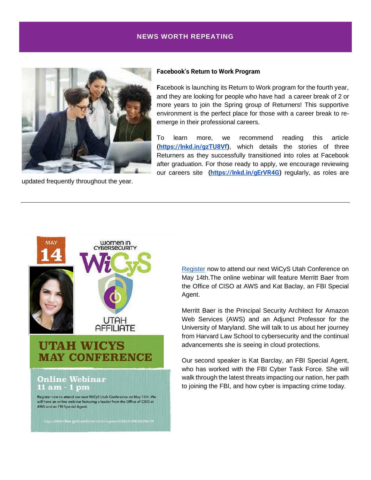### **NEWS WORTH REPEATING**



updated frequently throughout the year.

#### **Facebook's Return to Work Program**

**F**acebook is launching its Return to Work program for the fourth year, and they are looking for people who have had a career break of 2 or more years to join the Spring group of Returners! This supportive environment is the perfect place for those with a career break to reemerge in their professional careers.

To learn more, we recommend reading this article **[\(https://lnkd.in/gzTU8Vf\)](https://nam11.safelinks.protection.outlook.com/?url=https%3A%2F%2Flnkd.in%2FgzTU8Vf&data=04%7C01%7Ckbelnap%40healthequity.com%7Ca2513b27aff94396e08c08d8f9533cf8%7Cc5d0ad888f9343b89b7cc8a3bb8e410a%7C0%7C1%7C637533483192530832%7CUnknown%7CTWFpbGZsb3d8eyJWIjoiMC4wLjAwMDAiLCJQIjoiV2luMzIiLCJBTiI6Ik1haWwiLCJXVCI6Mn0%3D%7C2000&sdata=VpxiUNmAZQwSz8goo3G1uoqCLkmoDNpZ%2FVIqjCLWGdo%3D&reserved=0)**, which details the stories of three Returners as they successfully transitioned into roles at Facebook after graduation. For those ready to apply, we encourage reviewing our careers site **[\(https://lnkd.in/gErVR4G\)](https://nam11.safelinks.protection.outlook.com/?url=https%3A%2F%2Flnkd.in%2FgErVR4G&data=04%7C01%7Ckbelnap%40healthequity.com%7Ca2513b27aff94396e08c08d8f9533cf8%7Cc5d0ad888f9343b89b7cc8a3bb8e410a%7C0%7C1%7C637533483192540830%7CUnknown%7CTWFpbGZsb3d8eyJWIjoiMC4wLjAwMDAiLCJQIjoiV2luMzIiLCJBTiI6Ik1haWwiLCJXVCI6Mn0%3D%7C2000&sdata=dRcNXfUbxTSpwGUMt6swblXg1RtNXWycd3hjPvl21Yw%3D&reserved=0)** regularly, as roles are



**[Register](https://register.gotowebinar.com/register/4558631698304396559)** now to attend our next WiCyS Utah Conference on May 14th.The online webinar will feature Merritt Baer from the Office of CISO at AWS and Kat Baclay, an FBI Special Agent.

Merritt Baer is the Principal Security Architect for Amazon Web Services (AWS) and an Adjunct Professor for the University of Maryland. She will talk to us about her journey from Harvard Law School to cybersecurity and the continual advancements she is seeing in cloud protections.

Our second speaker is Kat Barclay, an FBI Special Agent, who has worked with the FBI Cyber Task Force. She will walk through the latest threats impacting our nation, her path to joining the FBI, and how cyber is impacting crime today.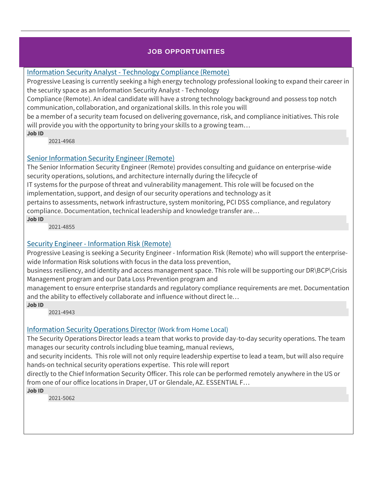# **JOB OPPORTUNITIES**

Information Security Analyst - [Technology Compliance \(Remote\)](https://nam11.safelinks.protection.outlook.com/?url=https%3A%2F%2Finternal-progleasing.icims.com%2Fjobs%2F4968%2Fjob&data=04%7C01%7Ckbelnap%40healthequity.com%7Cfa349c27fdd04f5a8e0608d8fed3a150%7Cc5d0ad888f9343b89b7cc8a3bb8e410a%7C0%7C0%7C637539532185764557%7CUnknown%7CTWFpbGZsb3d8eyJWIjoiMC4wLjAwMDAiLCJQIjoiV2luMzIiLCJBTiI6Ik1haWwiLCJXVCI6Mn0%3D%7C1000&sdata=lb5n0mcY0Sbm3Ut5IU5KBGWbj0z8o1%2FfgEaNe76%2BZAU%3D&reserved=0)

Progressive Leasing is currently seeking a high energy technology professional looking to expand their career in the security space as an Information Security Analyst - Technology

Compliance (Remote). An ideal candidate will have a strong technology background and possess top notch communication, collaboration, and organizational skills. In this role you will

be a member of a security team focused on delivering governance, risk, and compliance initiatives. This role will provide you with the opportunity to bring your skills to a growing team…

**Job ID**

2021-4968

## [Senior Information Security Engineer \(Remote\)](https://nam11.safelinks.protection.outlook.com/?url=https%3A%2F%2Finternal-progleasing.icims.com%2Fjobs%2F4855%2Fjob&data=04%7C01%7Ckbelnap%40healthequity.com%7Cfa349c27fdd04f5a8e0608d8fed3a150%7Cc5d0ad888f9343b89b7cc8a3bb8e410a%7C0%7C0%7C637539532185764557%7CUnknown%7CTWFpbGZsb3d8eyJWIjoiMC4wLjAwMDAiLCJQIjoiV2luMzIiLCJBTiI6Ik1haWwiLCJXVCI6Mn0%3D%7C1000&sdata=erS2EFbx5IgJBuJwnYrQ%2BAcLhYJx0FWCKsMsFDDdC0g%3D&reserved=0)

The Senior Information Security Engineer (Remote) provides consulting and guidance on enterprise-wide security operations, solutions, and architecture internally during the lifecycle of IT systems for the purpose of threat and vulnerability management. This role will be focused on the implementation, support, and design of our security operations and technology as it pertains to assessments, network infrastructure, system monitoring, PCI DSS compliance, and regulatory compliance. Documentation, technical leadership and knowledge transfer are… **Job ID**

2021-4855

# Security Engineer - [Information Risk \(Remote\)](https://nam11.safelinks.protection.outlook.com/?url=https%3A%2F%2Finternal-progleasing.icims.com%2Fjobs%2F4943%2Fjob&data=04%7C01%7Ckbelnap%40healthequity.com%7Cfa349c27fdd04f5a8e0608d8fed3a150%7Cc5d0ad888f9343b89b7cc8a3bb8e410a%7C0%7C0%7C637539532185774555%7CUnknown%7CTWFpbGZsb3d8eyJWIjoiMC4wLjAwMDAiLCJQIjoiV2luMzIiLCJBTiI6Ik1haWwiLCJXVCI6Mn0%3D%7C1000&sdata=3v5N8hoZqrh0UuCRgogcIoDTBwDcifVU2NWEimj%2BbBU%3D&reserved=0)

Progressive Leasing is seeking a Security Engineer - Information Risk (Remote) who will support the enterprisewide Information Risk solutions with focus in the data loss prevention,

business resiliency, and identity and access management space. This role will be supporting our DR\BCP\Crisis Management program and our Data Loss Prevention program and

management to ensure enterprise standards and regulatory compliance requirements are met. Documentation and the ability to effectively collaborate and influence without direct le…

**Job ID** 2021-4943

[Information Security Operations Director](https://nam11.safelinks.protection.outlook.com/?url=https%3A%2F%2Finternal-progleasing.icims.com%2Fjobs%2F5062%2Fjob&data=04%7C01%7Ckbelnap%40healthequity.com%7Cfa349c27fdd04f5a8e0608d8fed3a150%7Cc5d0ad888f9343b89b7cc8a3bb8e410a%7C0%7C0%7C637539532185774555%7CUnknown%7CTWFpbGZsb3d8eyJWIjoiMC4wLjAwMDAiLCJQIjoiV2luMzIiLCJBTiI6Ik1haWwiLCJXVCI6Mn0%3D%7C1000&sdata=S41n72f7%2B1sfxXRMSYmgoA%2Bnc9h6criXFS3ow61q3bA%3D&reserved=0) (Work from Home Local)

The Security Operations Director leads a team that works to provide day-to-day security operations. The team manages our security controls including blue teaming, manual reviews,

and security incidents. This role will not only require leadership expertise to lead a team, but will also require hands-on technical security operations expertise. This role will report

directly to the Chief Information Security Officer. This role can be performed remotely anywhere in the US or from one of our office locations in Draper, UT or Glendale, AZ. ESSENTIAL F…

**Job ID**

2021-5062